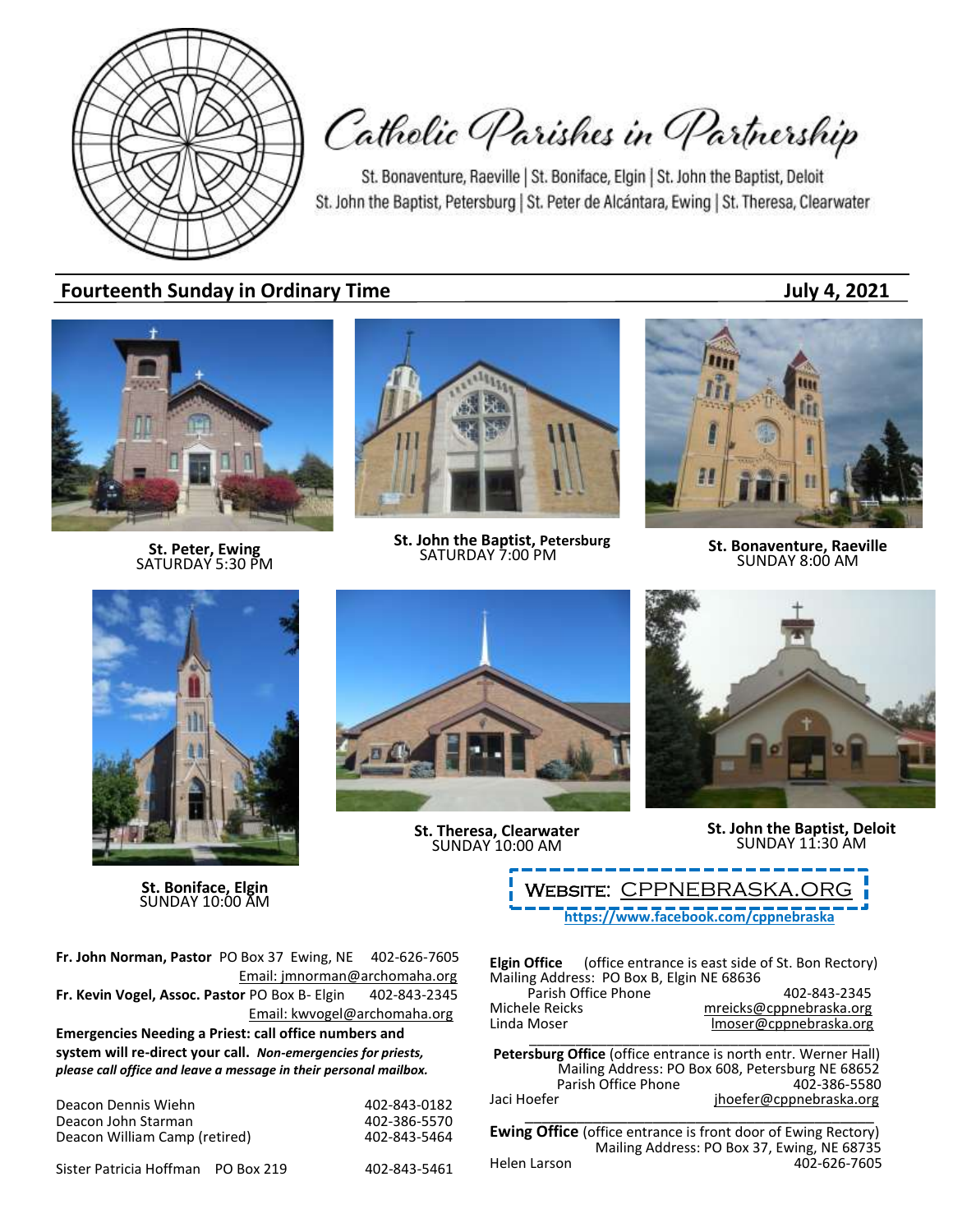

Catholic Parishes in Partnership

St. Bonaventure, Raeville | St. Boniface, Elgin | St. John the Baptist, Deloit St. John the Baptist, Petersburg | St. Peter de Alcántara, Ewing | St. Theresa, Clearwater

# **Fourteenth Sunday in Ordinary Time July 4, 2021**



**St. Peter, Ewing** SATURDAY 5:30 PM



**St. John the Baptist, Petersburg**<br>SATURDAY 7:00 PM



**SATURDAY 7:00 PM St. Bonaventure, Raeville**<br>SATURDAY 7:00 PM **SUNDAY 8:00 AM** 



**St. Boniface, Elgin** SUNDAY 10:00 AM



**St. Theresa, Clearwater** SUNDAY 10:00 AM



**St. John the Baptist, Deloit** SUNDAY 11:30 AM

**<https://www.facebook.com/cppnebraska>** WEBSITE: CPPNEBRASKA.OR

**Fr. John Norman, Pastor** PO Box 37 Ewing, NE 402-626-7605 Email: jmnorman@archomaha.org **Fr. Kevin Vogel, Assoc. Pastor** PO Box B- Elgin 402-843-2345 Email: [kwvogel@archomaha.org](mailto:kwvogel@archomaha.org) **Emergencies Needing a Priest: call office numbers and system will re-direct your call.** *Non-emergencies for priests, please call office and leave a message in their personal mailbox.*

| Deacon Dennis Wiehn           | 402-843-0182 |
|-------------------------------|--------------|
| Deacon John Starman           | 402-386-5570 |
| Deacon William Camp (retired) | 402-843-5464 |
|                               |              |

Sister Patricia Hoffman PO Box 219 402-843-5461

**Elgin Office** (office entrance is east side of St. Bon Rectory) Mailing Address: PO Box B, Elgin NE 68636 Parish Office Phone 402-843-2345<br>mreicks@cppnebraska.org metalsone Michele Reicks<br>
Linda Moser material moser@cppnebraska.org<br>
Imoser@cppnebraska.org

Imoser@cppnebraska.org \_\_\_\_\_\_\_\_\_\_\_\_\_\_\_\_\_\_\_\_\_\_\_\_\_\_\_\_\_\_\_\_\_\_\_\_\_\_\_\_\_\_\_\_

**Petersburg Office** (office entrance is north entr. Werner Hall) Mailing Address: PO Box 608, Petersburg NE 68652 Parish Office Phone Jaci Hoefer in the interface in the jhoefer@cppnebraska.org \_\_\_\_\_\_\_\_\_\_\_\_\_\_\_\_\_\_\_\_\_\_\_\_\_\_\_\_\_\_\_\_\_\_\_\_\_\_\_\_\_

**Ewing Office** (office entrance is front door of Ewing Rectory) Mailing Address: PO Box 37, Ewing, NE 68735<br>Helen Larson 402-626-7605 402-626-7605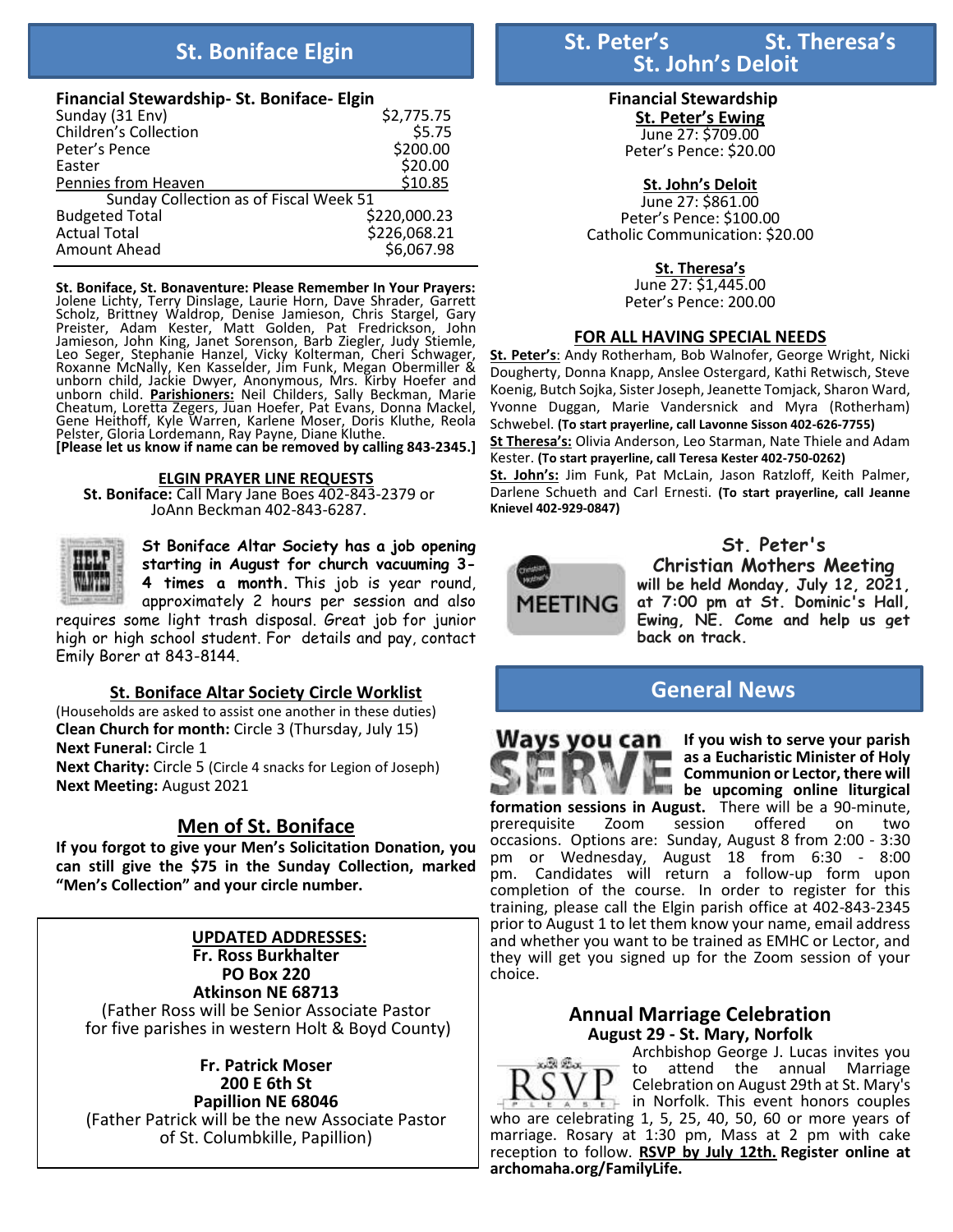### **Financial Stewardship- St. Boniface- Elgin**

| Sunday (31 Env)                        | \$2,775.75   |
|----------------------------------------|--------------|
| <b>Children's Collection</b>           | \$5.75       |
| Peter's Pence                          | \$200.00     |
| Easter                                 | \$20.00      |
| Pennies from Heaven                    | \$10.85      |
| Sunday Collection as of Fiscal Week 51 |              |
| <b>Budgeted Total</b>                  | \$220,000.23 |
| <b>Actual Total</b>                    | \$226,068.21 |
| Amount Ahead                           | \$6,067.98   |

**St. Boniface, St. Bonaventure: Please Remember In Your Prayers:** Jolene Lichty, Terry Dinslage, Laurie Horn, Dave Shrader, Garrett Scholz, Brittney Waldrop, Denise Jamieson, Chris Stargel, Gary Preister, Adam Kester, Matt Golden, Pat Fredrickson, John Jamieson, John King, Janet Sorenson, Barb Ziegler, Judy Stiemle, Leo Seger, Stephanie Hanzel, Vicky Kolterman, Cheri Schwager, Roxanne McNally, Ken Kasselder, Jim Funk, Megan Obermiller & unborn child, Jackie Dwyer, Anonymous, Mrs. Kirby Hoefer and unborn child. **Parishioners:** Neil Childers, Sally Beckman, Marie Cheatum, Loretta Zegers, Juan Hoefer, Pat Evans, Donna Mackel, Gene Heithoff, Kyle Warren, Karlene Moser, Doris Kluthe, Reola Pelster, Gloria Lordemann, Ray Payne, Diane Kluthe.

**[Please let us know if name can be removed by calling 843-2345.]**

#### **ELGIN PRAYER LINE REQUESTS**

**St. Boniface:** Call Mary Jane Boes 402-843-2379 or JoAnn Beckman 402-843-6287.



j

**St Boniface Altar Society has a job opening starting in August for church vacuuming 3- 4 times a month.** This job is year round, approximately 2 hours per session and also

requires some light trash disposal. Great job for junior high or high school student. For details and pay, contact Emily Borer at 843-8144.

### **St. Boniface Altar Society Circle Worklist**

(Households are asked to assist one another in these duties) **Clean Church for month:** Circle 3 (Thursday, July 15) **Next Funeral:** Circle 1 **Next Charity:** Circle 5 (Circle 4 snacks for Legion of Joseph) **Next Meeting:** August 2021

# **Men of St. Boniface**

**If you forgot to give your Men's Solicitation Donation, you can still give the \$75 in the Sunday Collection, marked "Men's Collection" and your circle number.**

# **UPDATED ADDRESSES:**

**Fr. Ross Burkhalter PO Box 220**

**Atkinson NE 68713** (Father Ross will be Senior Associate Pastor for five parishes in western Holt & Boyd County)

**Fr. Patrick Moser 200 E 6th St Papillion NE 68046** (Father Patrick will be the new Associate Pastor of St. Columbkille, Papillion)

#### **Financial Stewardship St. Peter's Ewing**

June 27: \$709.00 Peter's Pence: \$20.00

### **St. John's Deloit**

June 27: \$861.00 Peter's Pence: \$100.00 Catholic Communication: \$20.00

### **St. Theresa's**

June 27: \$1,445.00 Peter's Pence: 200.00

## **FOR ALL HAVING SPECIAL NEEDS**

**St. Peter's**: Andy Rotherham, Bob Walnofer, George Wright, Nicki Dougherty, Donna Knapp, Anslee Ostergard, Kathi Retwisch, Steve Koenig, Butch Sojka, Sister Joseph, Jeanette Tomjack, Sharon Ward, Yvonne Duggan, Marie Vandersnick and Myra (Rotherham) Schwebel. **(To start prayerline, call Lavonne Sisson 402-626-7755) St Theresa's:** Olivia Anderson, Leo Starman, Nate Thiele and Adam Kester. **(To start prayerline, call Teresa Kester 402-750-0262) St. John's:** Jim Funk, Pat McLain, Jason Ratzloff, Keith Palmer, Darlene Schueth and Carl Ernesti. **(To start prayerline, call Jeanne Knievel 402-929-0847)**



**St. Peter's Christian Mothers Meeting will be held Monday, July 12, 2021, at 7:00 pm at St. Dominic's Hall, Ewing, NE. Come and help us get back on track.**

# **General News**



**If you wish to serve your parish as a Eucharistic Minister of Holy Communion or Lector, there will be upcoming online liturgical** 

**formation sessions in August.** There will be a 90-minute, prerequisite zoom session offered on two prerequisite Zoom session offered on two occasions. Options are: Sunday, August 8 from 2:00 - 3:30 pm or Wednesday, August 18 from 6:30 - 8:00 pm. Candidates will return a follow-up form upon completion of the course. In order to register for this training, please call the Elgin parish office at 402-843-2345 prior to August 1 to let them know your name, email address and whether you want to be trained as EMHC or Lector, and they will get you signed up for the Zoom session of your choice.

# **Annual Marriage Celebration August 29 - St. Mary, Norfolk**



Archbishop George J. Lucas invites you<br>to attend the annual Marriage attend the annual Marriage Celebration on August 29th at St. Mary's in Norfolk. This event honors couples who are celebrating 1, 5, 25, 40, 50, 60 or more years of

marriage. Rosary at 1:30 pm, Mass at 2 pm with cake reception to follow. **RSVP by July 12th. Register online at archomaha.org/FamilyLife.**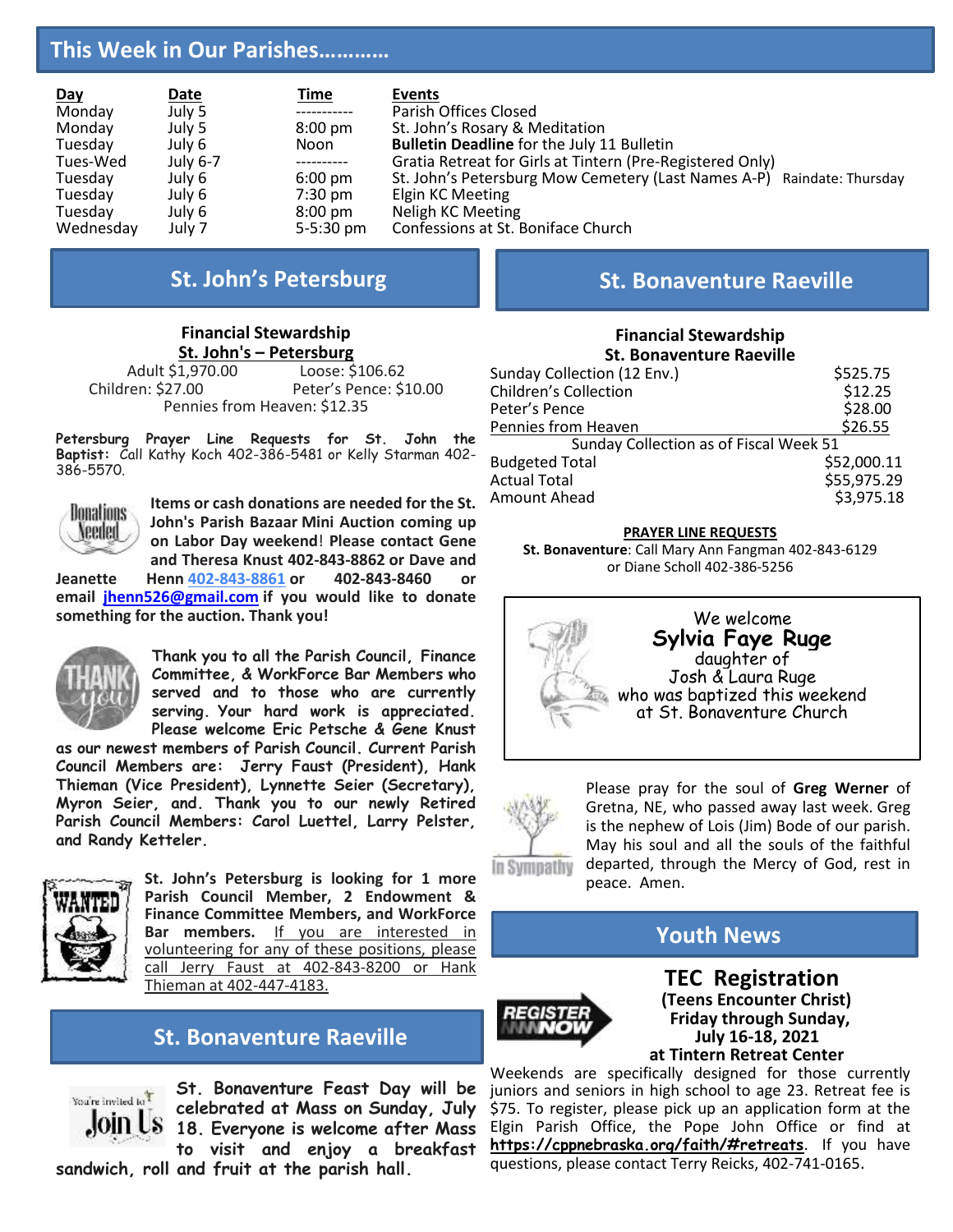# **This Week in Our Parishes…………**

| <u>Day</u><br>Monday | Date<br>July 5 | <u>Time</u><br>------------ | Events<br>Parish Offices Closed                                        |
|----------------------|----------------|-----------------------------|------------------------------------------------------------------------|
| Monday               | July 5         | $8:00 \text{ pm}$           | St. John's Rosary & Meditation                                         |
| Tuesday              | July 6         | Noon                        | <b>Bulletin Deadline for the July 11 Bulletin</b>                      |
| Tues-Wed             | July 6-7       | -----------                 | Gratia Retreat for Girls at Tintern (Pre-Registered Only)              |
| Tuesday              | July 6         | $6:00 \text{ pm}$           | St. John's Petersburg Mow Cemetery (Last Names A-P) Raindate: Thursday |
| Tuesday              | July 6         | $7:30 \text{ pm}$           | Elgin KC Meeting                                                       |
| Tuesday              | July 6         | $8:00 \text{ pm}$           | Neligh KC Meeting                                                      |
| Wednesday            | July 7         | $5 - 5:30$ pm               | Confessions at St. Boniface Church                                     |

# **Financial Stewardship**

**<u>St. John's – Petersburg</u>**<br>1,970.00 Loose: \$106.62 Adult \$1,970.00<br>Children: \$27.00 Peter's Pence: \$10.00 Pennies from Heaven: \$12.35

**Petersburg Prayer Line Requests for St. John the Baptist:** Call Kathy Koch 402-386-5481 or Kelly Starman 402- 386-5570.



**Items or cash donations are needed for the St. John's Parish Bazaar Mini Auction coming up on Labor Day weekend**! **Please contact Gene and Theresa Knust 402-843-8862 or Dave and**

**Jeanette Henn [402-843-8861](tel:402-386-5507) or 402-843-8460 or email [jhenn526@gmail.com](mailto:jhenn526@gmail.com) if you would like to donate something for the auction. Thank you!**



**Thank you to all the Parish Council, Finance Committee, & WorkForce Bar Members who served and to those who are currently serving. Your hard work is appreciated. Please welcome Eric Petsche & Gene Knust** 

**as our newest members of Parish Council. Current Parish Council Members are: Jerry Faust (President), Hank Thieman (Vice President), Lynnette Seier (Secretary), Myron Seier, and. Thank you to our newly Retired Parish Council Members: Carol Luettel, Larry Pelster, and Randy Ketteler.**



**St. John's Petersburg is looking for 1 more Parish Council Member, 2 Endowment & Finance Committee Members, and WorkForce Bar members.** If you are interested in volunteering for any of these positions, please call Jerry Faust at 402-843-8200 or Hank Thieman at 402-447-4183.

# **St. Bonaventure Raeville**



**St. Bonaventure Feast Day will be celebrated at Mass on Sunday, July 18. Everyone is welcome after Mass to visit and enjoy a breakfast** 

**sandwich, roll and fruit at the parish hall.**

# **St. John's Petersburg St. Bonaventure Raeville**

#### **Financial Stewardship St. Bonaventure Raeville**

| Sunday Collection (12 Env.)            | \$525.75    |
|----------------------------------------|-------------|
| <b>Children's Collection</b>           | \$12.25     |
| Peter's Pence                          | \$28.00     |
| Pennies from Heaven                    | \$26.55     |
| Sunday Collection as of Fiscal Week 51 |             |
| <b>Budgeted Total</b>                  | \$52,000.11 |
| <b>Actual Total</b>                    | \$55,975.29 |
| Amount Ahead                           | \$3,975.18  |
|                                        |             |

#### **PRAYER LINE REQUESTS**

**St. Bonaventure**: Call Mary Ann Fangman 402-843-6129 or Diane Scholl 402-386-5256





Please pray for the soul of **Greg Werner** of Gretna, NE, who passed away last week. Greg is the nephew of Lois (Jim) Bode of our parish. May his soul and all the souls of the faithful departed, through the Mercy of God, rest in peace. Amen.

**Youth News**



 **TEC Registration (Teens Encounter Christ) Friday through Sunday, July 16-18, 2021 at Tintern Retreat Center**

Weekends are specifically designed for those currently juniors and seniors in high school to age 23. Retreat fee is \$75. To register, please pick up an application form at the Elgin Parish Office, the Pope John Office or find at **<https://cppnebraska.org/faith/#retreats>**. If you have questions, please contact Terry Reicks, 402-741-0165.